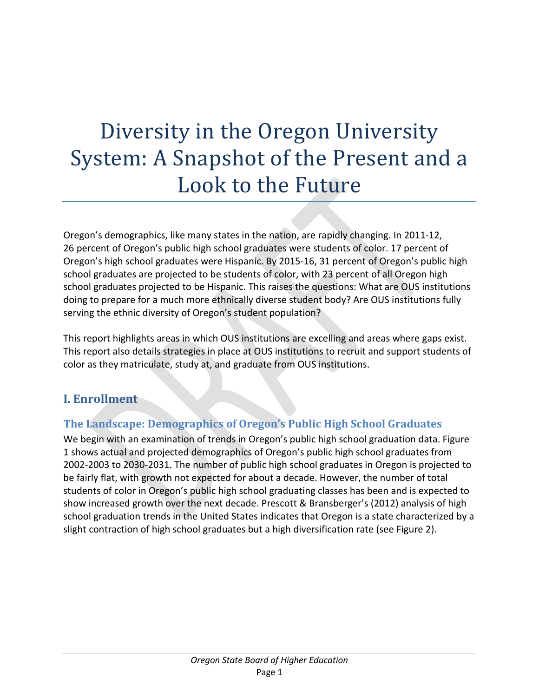# Diversity in the Oregon University System: A Snapshot of the Present and a Look to the Future

Oregon's demographics, like many states in the nation, are rapidly changing. In 2011-12, 26 percent of Oregon's public high school graduates were students of color. 17 percent of Oregon's high school graduates were Hispanic. By 2015-16, 31 percent of Oregon's public high school graduates are projected to be students of color, with 23 percent of all Oregon high school graduates projected to be Hispanic. This raises the questions: What are OUS institutions doing to prepare for a much more ethnically diverse student body? Are OUS institutions fully serving the ethnic diversity of Oregon's student population?

This report highlights areas in which OUS institutions are excelling and areas where gaps exist. This report also details strategies in place at OUS institutions to recruit and support students of color as they matriculate, study at, and graduate from OUS institutions.

# **I. Enrollment**

# **The Landscape: Demographics of Oregon's Public High School Graduates**

We begin with an examination of trends in Oregon's public high school graduation data. Figure 1 shows actual and projected demographics of Oregon's public high school graduates from 2002-2003 to 2030-2031. The number of public high school graduates in Oregon is projected to be fairly flat, with growth not expected for about a decade. However, the number of total students of color in Oregon's public high school graduating classes has been and is expected to show increased growth over the next decade. Prescott & Bransberger's (2012) analysis of high school graduation trends in the United States indicates that Oregon is a state characterized by a slight contraction of high school graduates but a high diversification rate (see Figure 2).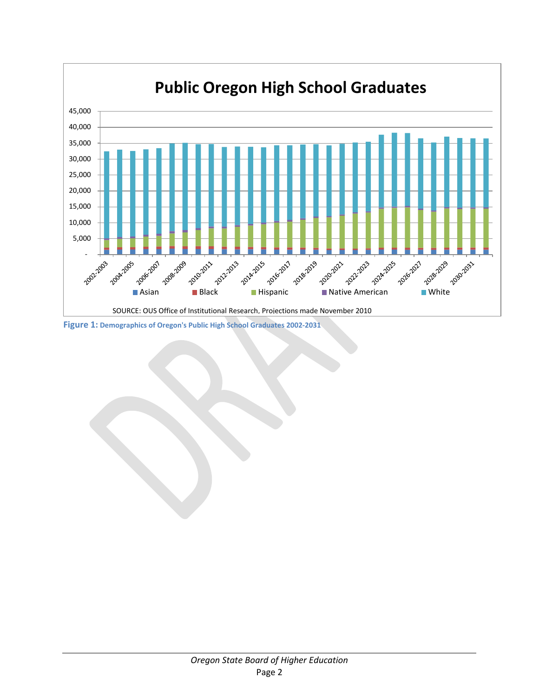

**Figure 1: Demographics of Oregon's Public High School Graduates 2002-2031**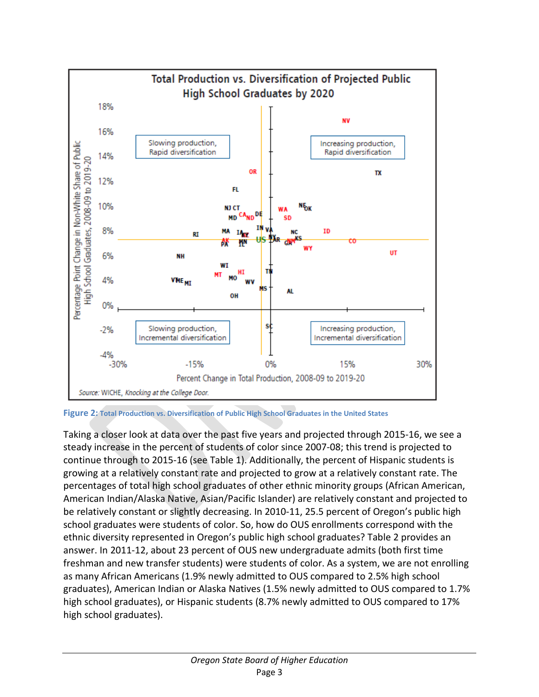

**Figure 2: Total Production vs. Diversification of Public High School Graduates in the United States**

Taking a closer look at data over the past five years and projected through 2015-16, we see a steady increase in the percent of students of color since 2007-08; this trend is projected to continue through to 2015-16 (see Table 1). Additionally, the percent of Hispanic students is growing at a relatively constant rate and projected to grow at a relatively constant rate. The percentages of total high school graduates of other ethnic minority groups (African American, American Indian/Alaska Native, Asian/Pacific Islander) are relatively constant and projected to be relatively constant or slightly decreasing. In 2010-11, 25.5 percent of Oregon's public high school graduates were students of color. So, how do OUS enrollments correspond with the ethnic diversity represented in Oregon's public high school graduates? Table 2 provides an answer. In 2011-12, about 23 percent of OUS new undergraduate admits (both first time freshman and new transfer students) were students of color. As a system, we are not enrolling as many African Americans (1.9% newly admitted to OUS compared to 2.5% high school graduates), American Indian or Alaska Natives (1.5% newly admitted to OUS compared to 1.7% high school graduates), or Hispanic students (8.7% newly admitted to OUS compared to 17% high school graduates).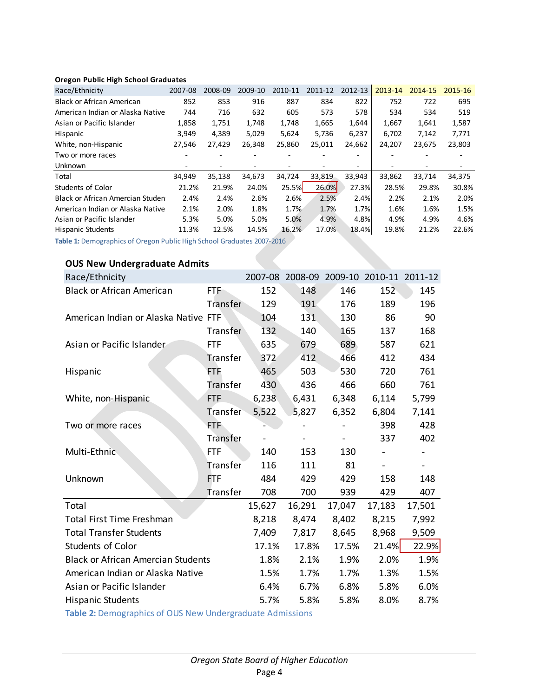#### **Oregon Public High School Graduates**

| Race/Ethnicity                          | 2007-08                  | 2008-09 | 2009-10 | 2010-11 | 2011-12 | 2012-13 | 2013-14 | 2014-15 | 2015-16 |
|-----------------------------------------|--------------------------|---------|---------|---------|---------|---------|---------|---------|---------|
| <b>Black or African American</b>        | 852                      | 853     | 916     | 887     | 834     | 822     | 752     | 722     | 695     |
| American Indian or Alaska Native        | 744                      | 716     | 632     | 605     | 573     | 578     | 534     | 534     | 519     |
| Asian or Pacific Islander               | 1,858                    | 1,751   | 1,748   | 1,748   | 1,665   | 1,644   | 1,667   | 1,641   | 1,587   |
| Hispanic                                | 3,949                    | 4,389   | 5,029   | 5,624   | 5,736   | 6,237   | 6,702   | 7,142   | 7,771   |
| White, non-Hispanic                     | 27,546                   | 27,429  | 26,348  | 25,860  | 25,011  | 24,662  | 24,207  | 23,675  | 23,803  |
| Two or more races                       |                          |         |         |         |         |         |         |         |         |
| <b>Unknown</b>                          | $\overline{\phantom{0}}$ |         |         |         |         |         |         |         |         |
| Total                                   | 34,949                   | 35,138  | 34,673  | 34,724  | 33,819  | 33,943  | 33,862  | 33,714  | 34,375  |
| Students of Color                       | 21.2%                    | 21.9%   | 24.0%   | 25.5%   | 26.0%   | 27.3%   | 28.5%   | 29.8%   | 30.8%   |
| <b>Black or African Amercian Studen</b> | 2.4%                     | 2.4%    | 2.6%    | 2.6%    | 2.5%    | 2.4%    | 2.2%    | 2.1%    | 2.0%    |
| American Indian or Alaska Native        | 2.1%                     | 2.0%    | 1.8%    | 1.7%    | 1.7%    | 1.7%    | 1.6%    | 1.6%    | 1.5%    |
| Asian or Pacific Islander               | 5.3%                     | 5.0%    | 5.0%    | 5.0%    | 4.9%    | 4.8%    | 4.9%    | 4.9%    | 4.6%    |
| <b>Hispanic Students</b>                | 11.3%                    | 12.5%   | 14.5%   | 16.2%   | 17.0%   | 18.4%   | 19.8%   | 21.2%   | 22.6%   |
|                                         |                          |         |         |         |         |         |         |         |         |

**Table 1:** Demographics of Oregon Public High School Graduates 2007-2016

#### **OUS New Undergraduate Admits**

| Race/Ethnicity                            |                                                                                                       |        |        |        | 2007-08 2008-09 2009-10 2010-11 2011-12 |        |  |  |  |
|-------------------------------------------|-------------------------------------------------------------------------------------------------------|--------|--------|--------|-----------------------------------------|--------|--|--|--|
| <b>Black or African American</b>          | <b>FTF</b>                                                                                            | 152    | 148    | 146    | 152                                     | 145    |  |  |  |
|                                           | Transfer                                                                                              | 129    | 191    | 176    | 189                                     | 196    |  |  |  |
| American Indian or Alaska Native FTF      |                                                                                                       | 104    | 131    | 130    | 86                                      | 90     |  |  |  |
|                                           | Transfer                                                                                              | 132    | 140    | 165    | 137                                     | 168    |  |  |  |
| Asian or Pacific Islander                 | <b>FTF</b>                                                                                            | 635    | 679    | 689    | 587                                     | 621    |  |  |  |
|                                           | Transfer                                                                                              | 372    | 412    | 466    | 412                                     | 434    |  |  |  |
| Hispanic                                  | <b>FTF</b>                                                                                            | 465    | 503    | 530    | 720                                     | 761    |  |  |  |
|                                           | Transfer                                                                                              | 430    | 436    | 466    | 660                                     | 761    |  |  |  |
| White, non-Hispanic                       | <b>FTF</b>                                                                                            | 6,238  | 6,431  | 6,348  | 6,114                                   | 5,799  |  |  |  |
|                                           | Transfer                                                                                              | 5,522  | 5,827  | 6,352  | 6,804                                   | 7,141  |  |  |  |
| Two or more races                         | FTF                                                                                                   |        |        |        | 398                                     | 428    |  |  |  |
|                                           | Transfer                                                                                              |        |        |        | 337                                     | 402    |  |  |  |
| Multi-Ethnic                              | <b>FTF</b>                                                                                            | 140    | 153    | 130    |                                         |        |  |  |  |
|                                           | Transfer                                                                                              | 116    | 111    | 81     |                                         |        |  |  |  |
| Unknown                                   | <b>FTF</b>                                                                                            | 484    | 429    | 429    | 158                                     | 148    |  |  |  |
|                                           | Transfer                                                                                              | 708    | 700    | 939    | 429                                     | 407    |  |  |  |
| Total                                     |                                                                                                       | 15,627 | 16,291 | 17,047 | 17,183                                  | 17,501 |  |  |  |
| Total First Time Freshman                 |                                                                                                       | 8,218  | 8,474  | 8,402  | 8,215                                   | 7,992  |  |  |  |
| <b>Total Transfer Students</b>            |                                                                                                       | 7,409  | 7,817  | 8,645  | 8,968                                   | 9,509  |  |  |  |
| Students of Color                         |                                                                                                       | 17.1%  | 17.8%  | 17.5%  | 21.4%                                   | 22.9%  |  |  |  |
| <b>Black or African Amercian Students</b> |                                                                                                       | 1.8%   | 2.1%   | 1.9%   | 2.0%                                    | 1.9%   |  |  |  |
| American Indian or Alaska Native          |                                                                                                       | 1.5%   | 1.7%   | 1.7%   | 1.3%                                    | 1.5%   |  |  |  |
| Asian or Pacific Islander                 |                                                                                                       | 6.4%   | 6.7%   | 6.8%   | 5.8%                                    | 6.0%   |  |  |  |
| <b>Hispanic Students</b>                  |                                                                                                       | 5.7%   | 5.8%   | 5.8%   | 8.0%                                    | 8.7%   |  |  |  |
|                                           | $\pm$ and $\pm$ . One can be a set of the set of the March than the second control of a direct set of |        |        |        |                                         |        |  |  |  |

**Table 2:** Demographics of OUS New Undergraduate Admissions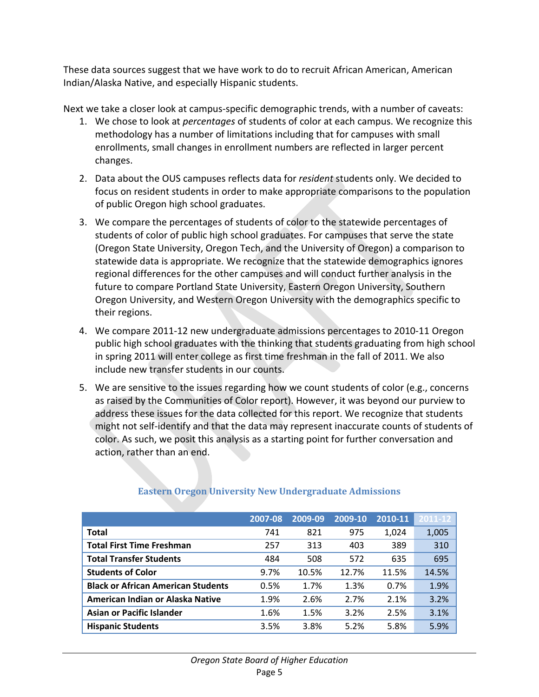These data sources suggest that we have work to do to recruit African American, American Indian/Alaska Native, and especially Hispanic students.

Next we take a closer look at campus-specific demographic trends, with a number of caveats:

- 1. We chose to look at *percentages* of students of color at each campus. We recognize this methodology has a number of limitations including that for campuses with small enrollments, small changes in enrollment numbers are reflected in larger percent changes.
- 2. Data about the OUS campuses reflects data for *resident* students only. We decided to focus on resident students in order to make appropriate comparisons to the population of public Oregon high school graduates.
- 3. We compare the percentages of students of color to the statewide percentages of students of color of public high school graduates. For campuses that serve the state (Oregon State University, Oregon Tech, and the University of Oregon) a comparison to statewide data is appropriate. We recognize that the statewide demographics ignores regional differences for the other campuses and will conduct further analysis in the future to compare Portland State University, Eastern Oregon University, Southern Oregon University, and Western Oregon University with the demographics specific to their regions.
- 4. We compare 2011-12 new undergraduate admissions percentages to 2010-11 Oregon public high school graduates with the thinking that students graduating from high school in spring 2011 will enter college as first time freshman in the fall of 2011. We also include new transfer students in our counts.
- 5. We are sensitive to the issues regarding how we count students of color (e.g., concerns as raised by the Communities of Color report). However, it was beyond our purview to address these issues for the data collected for this report. We recognize that students might not self-identify and that the data may represent inaccurate counts of students of color. As such, we posit this analysis as a starting point for further conversation and action, rather than an end.

|                                           | 2007-08 | 2009-09 | 2009-10 | 2010-11 | 2011-12 |
|-------------------------------------------|---------|---------|---------|---------|---------|
| <b>Total</b>                              | 741     | 821     | 975     | 1,024   | 1,005   |
| <b>Total First Time Freshman</b>          | 257     | 313     | 403     | 389     | 310     |
| <b>Total Transfer Students</b>            | 484     | 508     | 572     | 635     | 695     |
| <b>Students of Color</b>                  | 9.7%    | 10.5%   | 12.7%   | 11.5%   | 14.5%   |
| <b>Black or African American Students</b> | 0.5%    | 1.7%    | 1.3%    | 0.7%    | 1.9%    |
| American Indian or Alaska Native          | 1.9%    | 2.6%    | 2.7%    | 2.1%    | 3.2%    |
| <b>Asian or Pacific Islander</b>          | 1.6%    | 1.5%    | 3.2%    | 2.5%    | 3.1%    |
| <b>Hispanic Students</b>                  | 3.5%    | 3.8%    | 5.2%    | 5.8%    | 5.9%    |

# **Eastern Oregon University New Undergraduate Admissions**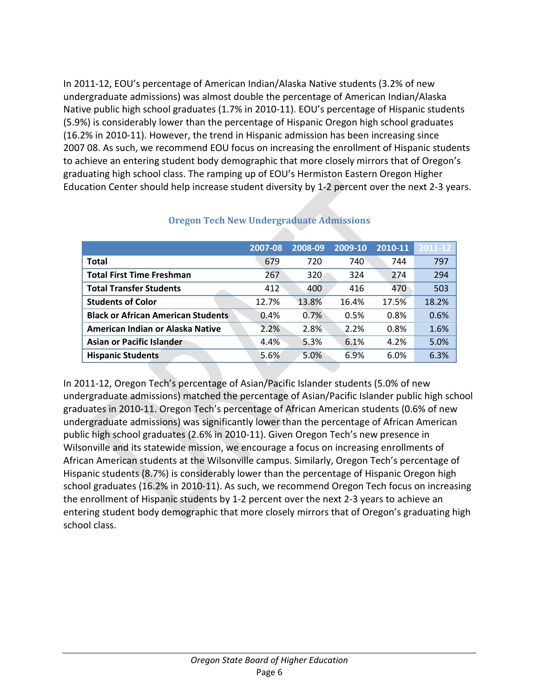In 2011-12, EOU's percentage of American Indian/Alaska Native students (3.2% of new undergraduate admissions) was almost double the percentage of American Indian/Alaska Native public high school graduates (1.7% in 2010-11). EOU's percentage of Hispanic students (5.9%) is considerably lower than the percentage of Hispanic Oregon high school graduates (16.2% in 2010-11). However, the trend in Hispanic admission has been increasing since 2007 08. As such, we recommend EOU focus on increasing the enrollment of Hispanic students to achieve an entering student body demographic that more closely mirrors that of Oregon's graduating high school class. The ramping up of EOU's Hermiston Eastern Oregon Higher Education Center should help increase student diversity by 1-2 percent over the next 2-3 years.

|                                           | 2007-08 | 2008-09 | 2009-10 | 2010-11 | $2011 - 12$ |
|-------------------------------------------|---------|---------|---------|---------|-------------|
| <b>Total</b>                              | 679     | 720     | 740     | 744     | 797         |
| <b>Total First Time Freshman</b>          | 267     | 320     | 324     | 274     | 294         |
| <b>Total Transfer Students</b>            | 412     | 400     | 416     | 470     | 503         |
| <b>Students of Color</b>                  | 12.7%   | 13.8%   | 16.4%   | 17.5%   | 18.2%       |
| <b>Black or African American Students</b> | 0.4%    | 0.7%    | 0.5%    | 0.8%    | 0.6%        |
| American Indian or Alaska Native          | 2.2%    | 2.8%    | 2.2%    | 0.8%    | 1.6%        |
| <b>Asian or Pacific Islander</b>          | 4.4%    | 5.3%    | 6.1%    | 4.2%    | 5.0%        |
| <b>Hispanic Students</b>                  | 5.6%    | 5.0%    | 6.9%    | 6.0%    | 6.3%        |

#### **Oregon Tech New Undergraduate Admissions**

In 2011-12, Oregon Tech's percentage of Asian/Pacific Islander students (5.0% of new undergraduate admissions) matched the percentage of Asian/Pacific Islander public high school graduates in 2010-11. Oregon Tech's percentage of African American students (0.6% of new undergraduate admissions) was significantly lower than the percentage of African American public high school graduates (2.6% in 2010-11). Given Oregon Tech's new presence in Wilsonville and its statewide mission, we encourage a focus on increasing enrollments of African American students at the Wilsonville campus. Similarly, Oregon Tech's percentage of Hispanic students (8.7%) is considerably lower than the percentage of Hispanic Oregon high school graduates (16.2% in 2010-11). As such, we recommend Oregon Tech focus on increasing the enrollment of Hispanic students by 1-2 percent over the next 2-3 years to achieve an entering student body demographic that more closely mirrors that of Oregon's graduating high school class.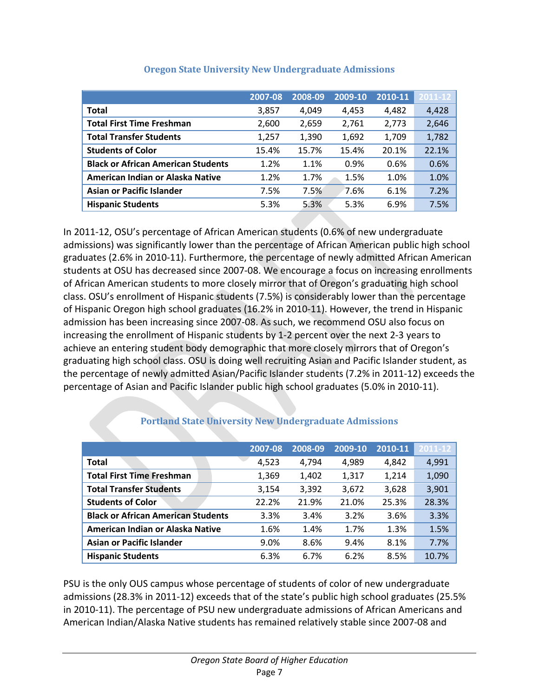|                                           | 2007-08 | 2008-09 | 2009-10 | 2010-11 | 2011-12 |
|-------------------------------------------|---------|---------|---------|---------|---------|
| <b>Total</b>                              | 3,857   | 4,049   | 4,453   | 4,482   | 4,428   |
| <b>Total First Time Freshman</b>          | 2,600   | 2,659   | 2,761   | 2,773   | 2,646   |
| <b>Total Transfer Students</b>            | 1,257   | 1,390   | 1,692   | 1,709   | 1,782   |
| <b>Students of Color</b>                  | 15.4%   | 15.7%   | 15.4%   | 20.1%   | 22.1%   |
| <b>Black or African American Students</b> | 1.2%    | 1.1%    | 0.9%    | 0.6%    | 0.6%    |
| American Indian or Alaska Native          | 1.2%    | 1.7%    | 1.5%    | 1.0%    | 1.0%    |
| <b>Asian or Pacific Islander</b>          | 7.5%    | 7.5%    | 7.6%    | 6.1%    | 7.2%    |
| <b>Hispanic Students</b>                  | 5.3%    | 5.3%    | 5.3%    | 6.9%    | 7.5%    |

#### **Oregon State University New Undergraduate Admissions**

In 2011-12, OSU's percentage of African American students (0.6% of new undergraduate admissions) was significantly lower than the percentage of African American public high school graduates (2.6% in 2010-11). Furthermore, the percentage of newly admitted African American students at OSU has decreased since 2007-08. We encourage a focus on increasing enrollments of African American students to more closely mirror that of Oregon's graduating high school class. OSU's enrollment of Hispanic students (7.5%) is considerably lower than the percentage of Hispanic Oregon high school graduates (16.2% in 2010-11). However, the trend in Hispanic admission has been increasing since 2007-08. As such, we recommend OSU also focus on increasing the enrollment of Hispanic students by 1-2 percent over the next 2-3 years to achieve an entering student body demographic that more closely mirrors that of Oregon's graduating high school class. OSU is doing well recruiting Asian and Pacific Islander student, as the percentage of newly admitted Asian/Pacific Islander students (7.2% in 2011-12) exceeds the percentage of Asian and Pacific Islander public high school graduates (5.0% in 2010-11).

|                                           | 2007-08 | 2008-09 | 2009-10 | 2010-11 | 2011-12 |
|-------------------------------------------|---------|---------|---------|---------|---------|
| <b>Total</b>                              | 4,523   | 4.794   | 4,989   | 4,842   | 4,991   |
| <b>Total First Time Freshman</b>          | 1,369   | 1,402   | 1,317   | 1,214   | 1,090   |
| <b>Total Transfer Students</b>            | 3,154   | 3,392   | 3,672   | 3,628   | 3,901   |
| <b>Students of Color</b>                  | 22.2%   | 21.9%   | 21.0%   | 25.3%   | 28.3%   |
| <b>Black or African American Students</b> | 3.3%    | 3.4%    | 3.2%    | 3.6%    | 3.3%    |
| American Indian or Alaska Native          | 1.6%    | 1.4%    | 1.7%    | 1.3%    | 1.5%    |
| <b>Asian or Pacific Islander</b>          | 9.0%    | 8.6%    | 9.4%    | 8.1%    | 7.7%    |
| <b>Hispanic Students</b>                  | 6.3%    | 6.7%    | 6.2%    | 8.5%    | 10.7%   |

### **Portland State University New Undergraduate Admissions**

PSU is the only OUS campus whose percentage of students of color of new undergraduate admissions (28.3% in 2011-12) exceeds that of the state's public high school graduates (25.5% in 2010-11). The percentage of PSU new undergraduate admissions of African Americans and American Indian/Alaska Native students has remained relatively stable since 2007-08 and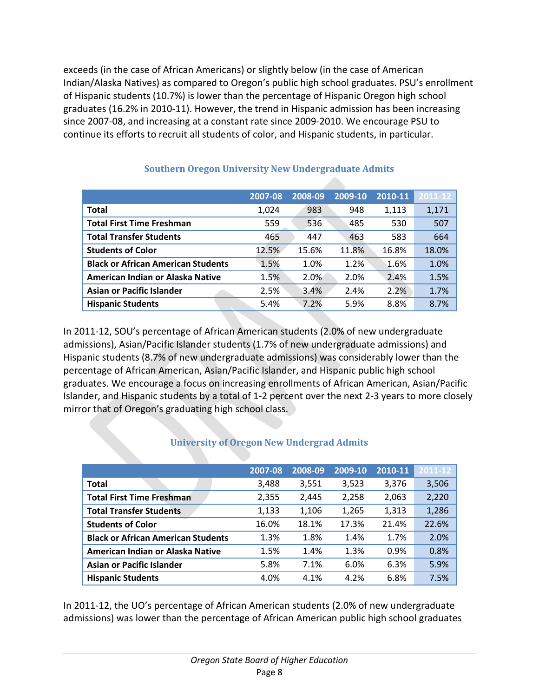exceeds (in the case of African Americans) or slightly below (in the case of American Indian/Alaska Natives) as compared to Oregon's public high school graduates. PSU's enrollment of Hispanic students (10.7%) is lower than the percentage of Hispanic Oregon high school graduates (16.2% in 2010-11). However, the trend in Hispanic admission has been increasing since 2007-08, and increasing at a constant rate since 2009-2010. We encourage PSU to continue its efforts to recruit all students of color, and Hispanic students, in particular.

|                                           | 2007-08 | 2008-09 | 2009-10 | 2010-11 | 2011-12 |
|-------------------------------------------|---------|---------|---------|---------|---------|
| Total                                     | 1,024   | 983     | 948     | 1,113   | 1,171   |
| <b>Total First Time Freshman</b>          | 559     | 536     | 485     | 530     | 507     |
| <b>Total Transfer Students</b>            | 465     | 447     | 463     | 583     | 664     |
| <b>Students of Color</b>                  | 12.5%   | 15.6%   | 11.8%   | 16.8%   | 18.0%   |
| <b>Black or African American Students</b> | 1.5%    | 1.0%    | 1.2%    | 1.6%    | 1.0%    |
| American Indian or Alaska Native          | 1.5%    | 2.0%    | 2.0%    | 2.4%    | 1.5%    |
| <b>Asian or Pacific Islander</b>          | 2.5%    | 3.4%    | 2.4%    | 2.2%    | 1.7%    |
| <b>Hispanic Students</b>                  | 5.4%    | 7.2%    | 5.9%    | 8.8%    | 8.7%    |

### **Southern Oregon University New Undergraduate Admits**

In 2011-12, SOU's percentage of African American students (2.0% of new undergraduate admissions), Asian/Pacific Islander students (1.7% of new undergraduate admissions) and Hispanic students (8.7% of new undergraduate admissions) was considerably lower than the percentage of African American, Asian/Pacific Islander, and Hispanic public high school graduates. We encourage a focus on increasing enrollments of African American, Asian/Pacific Islander, and Hispanic students by a total of 1-2 percent over the next 2-3 years to more closely mirror that of Oregon's graduating high school class.

### **University of Oregon New Undergrad Admits**

|                                           | 2007-08 | 2008-09 | 2009-10 | 2010-11 | 2011-12 |
|-------------------------------------------|---------|---------|---------|---------|---------|
| <b>Total</b>                              | 3,488   | 3,551   | 3,523   | 3,376   | 3,506   |
| <b>Total First Time Freshman</b>          | 2,355   | 2,445   | 2,258   | 2,063   | 2,220   |
| <b>Total Transfer Students</b>            | 1,133   | 1,106   | 1,265   | 1,313   | 1,286   |
| <b>Students of Color</b>                  | 16.0%   | 18.1%   | 17.3%   | 21.4%   | 22.6%   |
| <b>Black or African American Students</b> | 1.3%    | 1.8%    | 1.4%    | 1.7%    | 2.0%    |
| American Indian or Alaska Native          | 1.5%    | 1.4%    | 1.3%    | 0.9%    | 0.8%    |
| <b>Asian or Pacific Islander</b>          | 5.8%    | 7.1%    | 6.0%    | 6.3%    | 5.9%    |
| <b>Hispanic Students</b>                  | 4.0%    | 4.1%    | 4.2%    | 6.8%    | 7.5%    |

In 2011-12, the UO's percentage of African American students (2.0% of new undergraduate admissions) was lower than the percentage of African American public high school graduates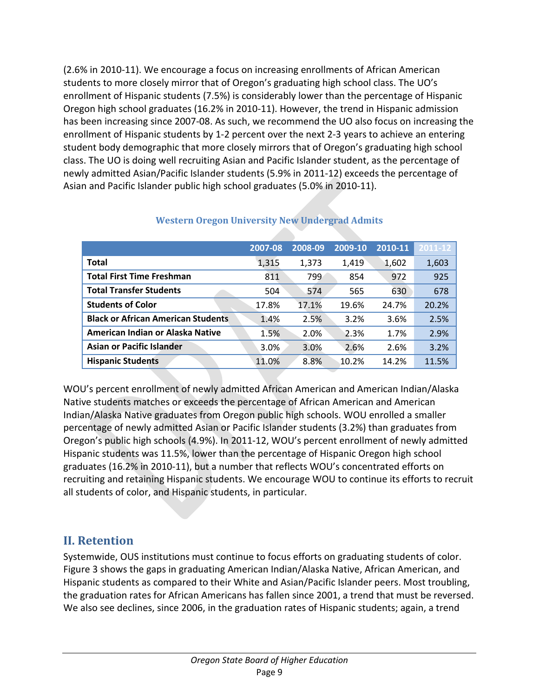(2.6% in 2010-11). We encourage a focus on increasing enrollments of African American students to more closely mirror that of Oregon's graduating high school class. The UO's enrollment of Hispanic students (7.5%) is considerably lower than the percentage of Hispanic Oregon high school graduates (16.2% in 2010-11). However, the trend in Hispanic admission has been increasing since 2007-08. As such, we recommend the UO also focus on increasing the enrollment of Hispanic students by 1-2 percent over the next 2-3 years to achieve an entering student body demographic that more closely mirrors that of Oregon's graduating high school class. The UO is doing well recruiting Asian and Pacific Islander student, as the percentage of newly admitted Asian/Pacific Islander students (5.9% in 2011-12) exceeds the percentage of Asian and Pacific Islander public high school graduates (5.0% in 2010-11).

|                                           | 2007-08 | 2008-09 | 2009-10 | 2010-11 | 2011-12 |
|-------------------------------------------|---------|---------|---------|---------|---------|
| <b>Total</b>                              | 1,315   | 1,373   | 1,419   | 1,602   | 1,603   |
| <b>Total First Time Freshman</b>          | 811     | 799     | 854     | 972     | 925     |
| <b>Total Transfer Students</b>            | 504     | 574     | 565     | 630     | 678     |
| <b>Students of Color</b>                  | 17.8%   | 17.1%   | 19.6%   | 24.7%   | 20.2%   |
| <b>Black or African American Students</b> | 1.4%    | 2.5%    | 3.2%    | 3.6%    | 2.5%    |
| American Indian or Alaska Native          | 1.5%    | 2.0%    | 2.3%    | 1.7%    | 2.9%    |
| <b>Asian or Pacific Islander</b>          | 3.0%    | 3.0%    | 2.6%    | 2.6%    | 3.2%    |
| <b>Hispanic Students</b>                  | 11.0%   | 8.8%    | 10.2%   | 14.2%   | 11.5%   |

### **Western Oregon University New Undergrad Admits**

WOU's percent enrollment of newly admitted African American and American Indian/Alaska Native students matches or exceeds the percentage of African American and American Indian/Alaska Native graduates from Oregon public high schools. WOU enrolled a smaller percentage of newly admitted Asian or Pacific Islander students (3.2%) than graduates from Oregon's public high schools (4.9%). In 2011-12, WOU's percent enrollment of newly admitted Hispanic students was 11.5%, lower than the percentage of Hispanic Oregon high school graduates (16.2% in 2010-11), but a number that reflects WOU's concentrated efforts on recruiting and retaining Hispanic students. We encourage WOU to continue its efforts to recruit all students of color, and Hispanic students, in particular.

# **II. Retention**

Systemwide, OUS institutions must continue to focus efforts on graduating students of color. Figure 3 shows the gaps in graduating American Indian/Alaska Native, African American, and Hispanic students as compared to their White and Asian/Pacific Islander peers. Most troubling, the graduation rates for African Americans has fallen since 2001, a trend that must be reversed. We also see declines, since 2006, in the graduation rates of Hispanic students; again, a trend